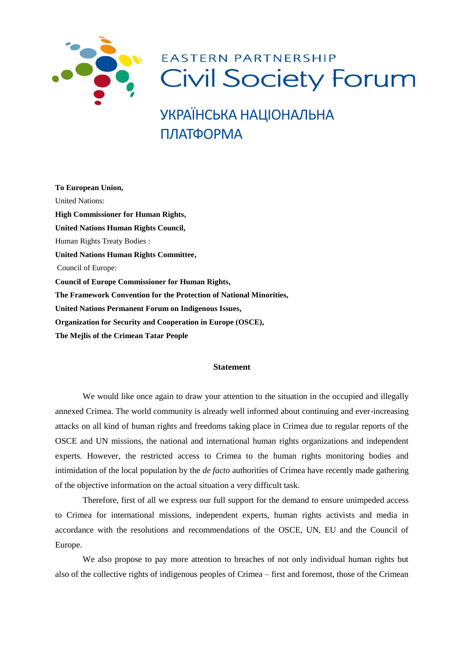

УКРАЇНСЬКА НАЦІОНАЛЬНА ПЛАТФОРМА

**To European Union,**  United Nations: **[High Commissioner for Human Rights,](http://www.ohchr.org/EN/AboutUs/Pages/HighCommissioner.aspx) United Nations Human Rights Council,** [Human Rights Treaty Bodies](http://www.ohchr.org/EN/HRBodies/Pages/TreatyBodies.aspx) : **[United Nations Human Rights Committee,](https://www.google.com.ua/url?sa=t&rct=j&q=&esrc=s&source=web&cd=12&ved=0ahUKEwiL5v6fiqLMAhUDECwKHdICA_sQFghYMAs&url=https%3A%2F%2Fen.wikipedia.org%2Fwiki%2FUnited_Nations_Human_Rights_Committee&usg=AFQjCNHWlOO377_0Qk0iOIvPOnmRRU882w&sig2=pB7xs0GjFN1RMAmOATvAVA)**  Council of Europe: **Council of Europe Commissioner for Human Rights, The Framework Convention for the Protection of National Minorities, [United Nations Permanent Forum on Indigenous Issues,](https://www.google.com.ua/url?sa=t&rct=j&q=&esrc=s&source=web&cd=1&ved=0ahUKEwi8zdeSjKLMAhVBGCwKHWSoAIEQFggbMAA&url=https%3A%2F%2Fwww.un.org%2Fdevelopment%2Fdesa%2Findigenouspeoples%2F&usg=AFQjCNHpELykYs0NgOYIjQfBIZfty8NGtA&sig2=y0YVY783TJ6bmg8P-bwRMA) Organization for Security and Cooperation in Europe (OSCE), The Mejlis of the Crimean Tatar People**

## **Statement**

We would like once again to draw your attention to the situation in the occupied and illegally annexed Crimea. The world community is already well informed about continuing and ever-increasing attacks on all kind of human rights and freedoms taking place in Crimea due to regular reports of the OSCE and UN missions, the national and international human rights organizations and independent experts. However, the restricted access to Crimea to the human rights monitoring bodies and intimidation of the local population by the *de facto* authorities of Crimea have recently made gathering of the objective information on the actual situation a very difficult task.

Therefore, first of all we express our full support for the demand to ensure unimpeded access to Crimea for international missions, independent experts, human rights activists and media in accordance with the resolutions and recommendations of the OSCE, UN, EU and the Council of Europe.

We also propose to pay more attention to breaches of not only individual human rights but also of the collective rights of indigenous peoples of Crimea – first and foremost, those of the Crimean